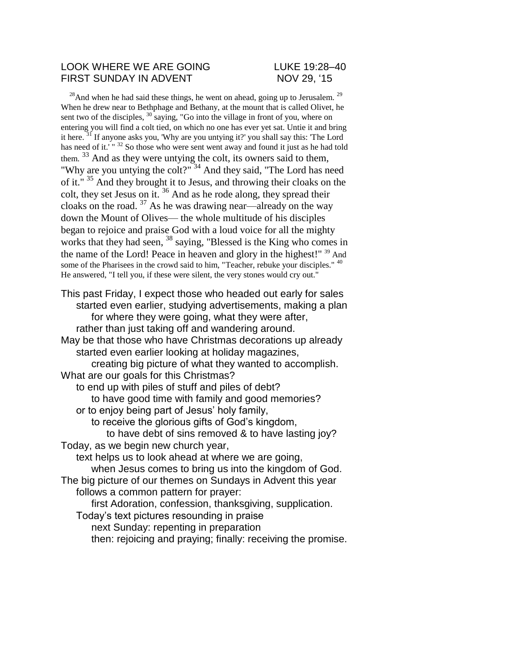#### LOOK WHERE WE ARE GOING LUKE 19:28–40 FIRST SUNDAY IN ADVENT NOV 29, '15

 $^{28}$ And when he had said these things, he went on ahead, going up to Jerusalem.  $^{29}$ When he drew near to Bethphage and Bethany, at the mount that is called Olivet, he sent two of the disciples,  $30^{\circ}$  saying, "Go into the village in front of you, where on entering you will find a colt tied, on which no one has ever yet sat. Untie it and bring it here. <sup>31</sup> If anyone asks you, 'Why are you untying it?' you shall say this: 'The Lord has need of it.' "<sup>32</sup> So those who were sent went away and found it just as he had told them. <sup>33</sup> And as they were untying the colt, its owners said to them, "Why are you untying the colt?"<sup>34</sup> And they said, "The Lord has need of it."<sup>35</sup> And they brought it to Jesus, and throwing their cloaks on the colt, they set Jesus on it.  $36$  And as he rode along, they spread their cloaks on the road.  $37$  As he was drawing near—already on the way down the Mount of Olives— the whole multitude of his disciples began to rejoice and praise God with a loud voice for all the mighty works that they had seen, <sup>38</sup> saying, "Blessed is the King who comes in the name of the Lord! Peace in heaven and glory in the highest!" <sup>39</sup> And some of the Pharisees in the crowd said to him, "Teacher, rebuke your disciples." <sup>40</sup> He answered, "I tell you, if these were silent, the very stones would cry out."

This past Friday, I expect those who headed out early for sales started even earlier, studying advertisements, making a plan for where they were going, what they were after, rather than just taking off and wandering around. May be that those who have Christmas decorations up already started even earlier looking at holiday magazines,

creating big picture of what they wanted to accomplish. What are our goals for this Christmas?

to end up with piles of stuff and piles of debt? to have good time with family and good memories?

or to enjoy being part of Jesus' holy family,

to receive the glorious gifts of God's kingdom,

to have debt of sins removed & to have lasting joy? Today, as we begin new church year,

text helps us to look ahead at where we are going, when Jesus comes to bring us into the kingdom of God.

The big picture of our themes on Sundays in Advent this year follows a common pattern for prayer:

first Adoration, confession, thanksgiving, supplication.

Today's text pictures resounding in praise

next Sunday: repenting in preparation

then: rejoicing and praying; finally: receiving the promise.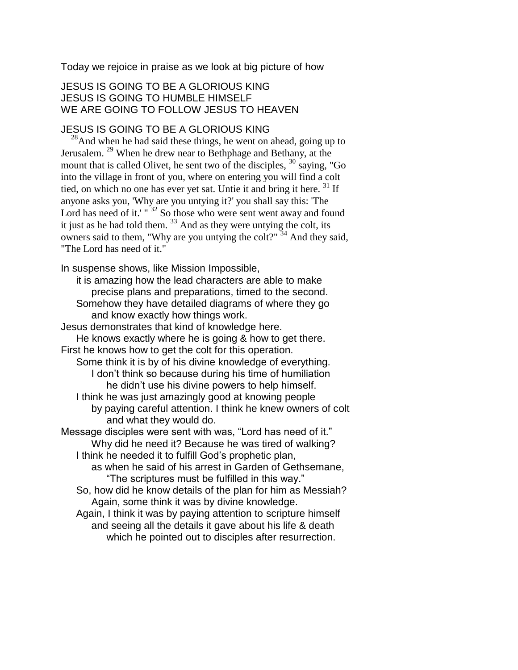Today we rejoice in praise as we look at big picture of how

## JESUS IS GOING TO BE A GLORIOUS KING JESUS IS GOING TO HUMBLE HIMSELF WE ARE GOING TO FOLLOW JESUS TO HEAVEN

## JESUS IS GOING TO BE A GLORIOUS KING

 $^{28}$ And when he had said these things, he went on ahead, going up to Jerusalem. <sup>29</sup> When he drew near to Bethphage and Bethany, at the mount that is called Olivet, he sent two of the disciples,  $^{30}$  saying, "Go into the village in front of you, where on entering you will find a colt tied, on which no one has ever yet sat. Untie it and bring it here. <sup>31</sup> If anyone asks you, 'Why are you untying it?' you shall say this: 'The Lord has need of it.' "<sup>32</sup> So those who were sent went away and found it just as he had told them.  $33$  And as they were untying the colt, its owners said to them, "Why are you untying the colt?"  $34$  And they said, "The Lord has need of it."

In suspense shows, like Mission Impossible,

it is amazing how the lead characters are able to make precise plans and preparations, timed to the second. Somehow they have detailed diagrams of where they go and know exactly how things work.

Jesus demonstrates that kind of knowledge here. He knows exactly where he is going & how to get there. First he knows how to get the colt for this operation.

- Some think it is by of his divine knowledge of everything. I don't think so because during his time of humiliation he didn't use his divine powers to help himself.
	- I think he was just amazingly good at knowing people
		- by paying careful attention. I think he knew owners of colt and what they would do.

Message disciples were sent with was, "Lord has need of it." Why did he need it? Because he was tired of walking?

I think he needed it to fulfill God's prophetic plan,

as when he said of his arrest in Garden of Gethsemane, "The scriptures must be fulfilled in this way."

So, how did he know details of the plan for him as Messiah? Again, some think it was by divine knowledge.

Again, I think it was by paying attention to scripture himself and seeing all the details it gave about his life & death which he pointed out to disciples after resurrection.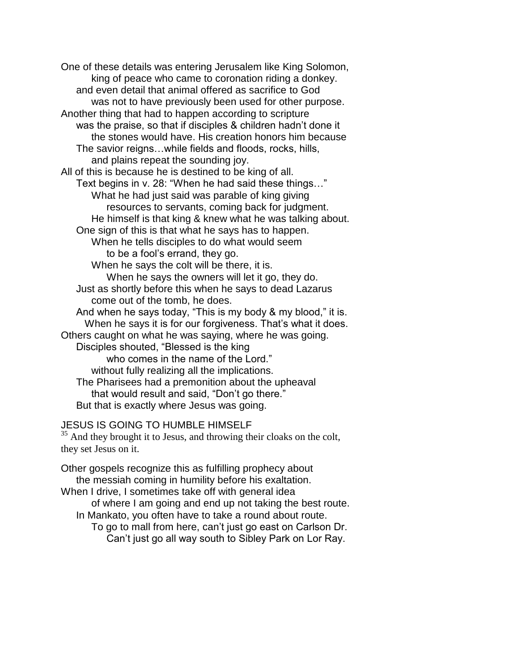One of these details was entering Jerusalem like King Solomon, king of peace who came to coronation riding a donkey. and even detail that animal offered as sacrifice to God was not to have previously been used for other purpose. Another thing that had to happen according to scripture was the praise, so that if disciples & children hadn't done it the stones would have. His creation honors him because The savior reigns…while fields and floods, rocks, hills, and plains repeat the sounding joy. All of this is because he is destined to be king of all. Text begins in v. 28: "When he had said these things…" What he had just said was parable of king giving resources to servants, coming back for judgment. He himself is that king & knew what he was talking about. One sign of this is that what he says has to happen. When he tells disciples to do what would seem to be a fool's errand, they go. When he says the colt will be there, it is. When he says the owners will let it go, they do. Just as shortly before this when he says to dead Lazarus come out of the tomb, he does. And when he says today, "This is my body & my blood," it is. When he says it is for our forgiveness. That's what it does. Others caught on what he was saying, where he was going. Disciples shouted, "Blessed is the king who comes in the name of the Lord." without fully realizing all the implications. The Pharisees had a premonition about the upheaval that would result and said, "Don't go there." But that is exactly where Jesus was going.

# JESUS IS GOING TO HUMBLE HIMSELF

 $35$  And they brought it to Jesus, and throwing their cloaks on the colt, they set Jesus on it.

Other gospels recognize this as fulfilling prophecy about the messiah coming in humility before his exaltation. When I drive, I sometimes take off with general idea of where I am going and end up not taking the best route. In Mankato, you often have to take a round about route.

To go to mall from here, can't just go east on Carlson Dr. Can't just go all way south to Sibley Park on Lor Ray.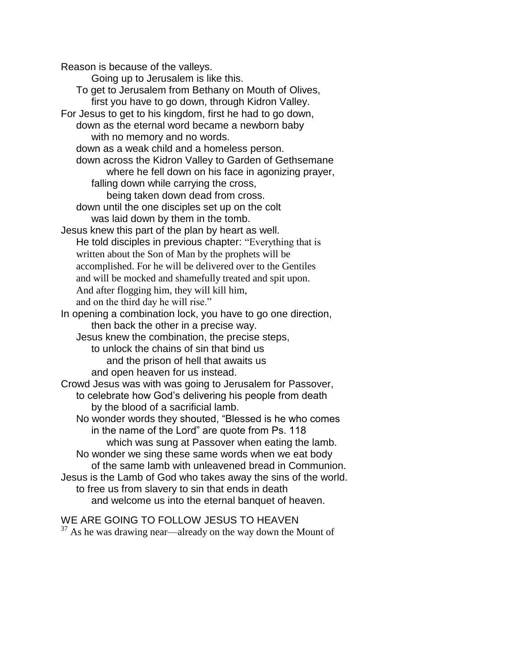Reason is because of the valleys. Going up to Jerusalem is like this. To get to Jerusalem from Bethany on Mouth of Olives, first you have to go down, through Kidron Valley. For Jesus to get to his kingdom, first he had to go down, down as the eternal word became a newborn baby with no memory and no words. down as a weak child and a homeless person. down across the Kidron Valley to Garden of Gethsemane where he fell down on his face in agonizing prayer, falling down while carrying the cross, being taken down dead from cross. down until the one disciples set up on the colt was laid down by them in the tomb. Jesus knew this part of the plan by heart as well. He told disciples in previous chapter: "Everything that is written about the Son of Man by the prophets will be accomplished. For he will be delivered over to the Gentiles and will be mocked and shamefully treated and spit upon. And after flogging him, they will kill him, and on the third day he will rise." In opening a combination lock, you have to go one direction, then back the other in a precise way. Jesus knew the combination, the precise steps, to unlock the chains of sin that bind us and the prison of hell that awaits us and open heaven for us instead. Crowd Jesus was with was going to Jerusalem for Passover, to celebrate how God's delivering his people from death by the blood of a sacrificial lamb. No wonder words they shouted, "Blessed is he who comes in the name of the Lord" are quote from Ps. 118 which was sung at Passover when eating the lamb. No wonder we sing these same words when we eat body of the same lamb with unleavened bread in Communion. Jesus is the Lamb of God who takes away the sins of the world. to free us from slavery to sin that ends in death and welcome us into the eternal banquet of heaven.

WE ARE GOING TO FOLLOW JESUS TO HEAVEN  $37$  As he was drawing near—already on the way down the Mount of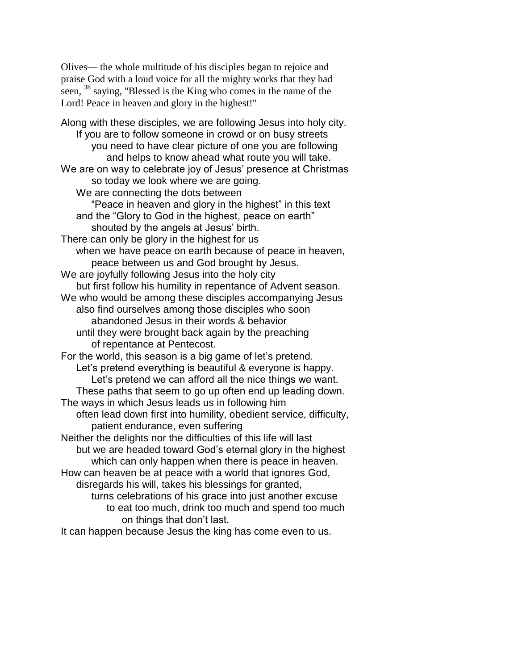Olives— the whole multitude of his disciples began to rejoice and praise God with a loud voice for all the mighty works that they had seen, <sup>38</sup> saying, "Blessed is the King who comes in the name of the Lord! Peace in heaven and glory in the highest!"

Along with these disciples, we are following Jesus into holy city. If you are to follow someone in crowd or on busy streets you need to have clear picture of one you are following and helps to know ahead what route you will take. We are on way to celebrate joy of Jesus' presence at Christmas so today we look where we are going. We are connecting the dots between "Peace in heaven and glory in the highest" in this text and the "Glory to God in the highest, peace on earth" shouted by the angels at Jesus' birth. There can only be glory in the highest for us when we have peace on earth because of peace in heaven, peace between us and God brought by Jesus. We are joyfully following Jesus into the holy city but first follow his humility in repentance of Advent season. We who would be among these disciples accompanying Jesus also find ourselves among those disciples who soon abandoned Jesus in their words & behavior until they were brought back again by the preaching of repentance at Pentecost. For the world, this season is a big game of let's pretend. Let's pretend everything is beautiful & everyone is happy. Let's pretend we can afford all the nice things we want. These paths that seem to go up often end up leading down. The ways in which Jesus leads us in following him often lead down first into humility, obedient service, difficulty, patient endurance, even suffering Neither the delights nor the difficulties of this life will last but we are headed toward God's eternal glory in the highest which can only happen when there is peace in heaven. How can heaven be at peace with a world that ignores God, disregards his will, takes his blessings for granted, turns celebrations of his grace into just another excuse to eat too much, drink too much and spend too much on things that don't last.

It can happen because Jesus the king has come even to us.